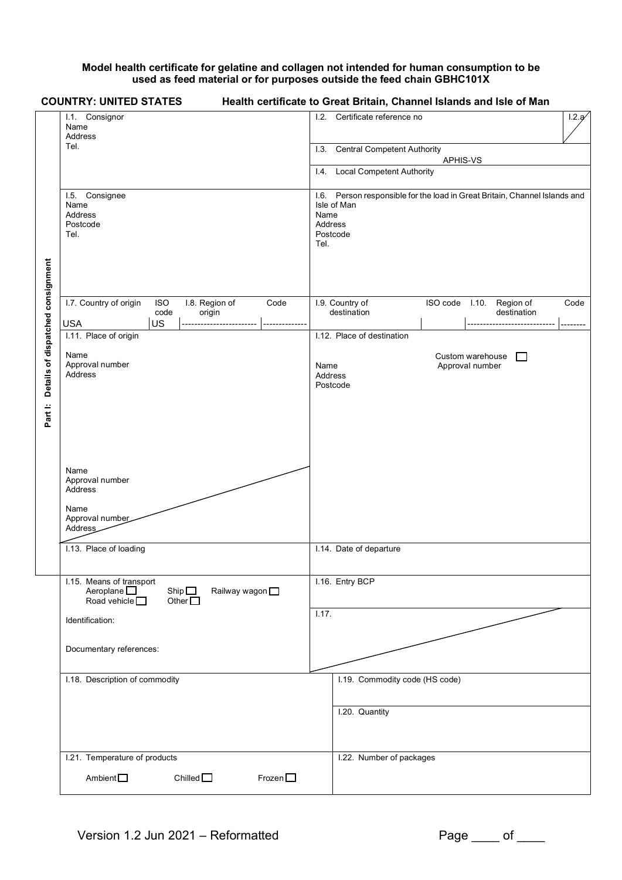## **Model health certificate for gelatine and collagen not intended for human consumption to be used as feed material or for purposes outside the feed chain GBHC101X**

|                                   | <b>COUNTRY: UNITED STATES</b>                                                                                             | Health certificate to Great Britain, Channel Islands and Isle of Man                                                             |       |  |
|-----------------------------------|---------------------------------------------------------------------------------------------------------------------------|----------------------------------------------------------------------------------------------------------------------------------|-------|--|
|                                   | I.1. Consignor<br>Name<br>Address                                                                                         | I.2. Certificate reference no                                                                                                    | 1.2.9 |  |
|                                   | Tel.                                                                                                                      | <b>Central Competent Authority</b><br>1.3.                                                                                       |       |  |
|                                   |                                                                                                                           | APHIS-VS<br><b>Local Competent Authority</b><br>$\overline{1.4}$ .                                                               |       |  |
|                                   |                                                                                                                           |                                                                                                                                  |       |  |
|                                   | I.5. Consignee<br>Name<br>Address<br>Postcode<br>Tel.                                                                     | I.6. Person responsible for the load in Great Britain, Channel Islands and<br>Isle of Man<br>Name<br>Address<br>Postcode<br>Tel. |       |  |
|                                   | I.7. Country of origin<br><b>ISO</b><br>I.8. Region of<br>Code<br>code<br>origin                                          | ISO code I.10. Region of<br>I.9. Country of<br>destination<br>destination                                                        | Code  |  |
|                                   | <b>USA</b><br><b>US</b><br>I.11. Place of origin                                                                          | I.12. Place of destination                                                                                                       | ----- |  |
| Details of dispatched consignment | Name<br>Approval number<br>Address                                                                                        | Custom warehouse<br>ГI<br>Approval number<br>Name<br>Address<br>Postcode                                                         |       |  |
| Part I:                           | Name<br>Approval number<br><b>Address</b><br>Name<br>Approval number<br>Address                                           |                                                                                                                                  |       |  |
|                                   | I.13. Place of loading                                                                                                    | I.14. Date of departure                                                                                                          |       |  |
|                                   | I.15. Means of transport<br>Aeroplane $\square$<br>Ship $\square$<br>Railway wagon<br>Road vehicle $\Box$<br>Other $\Box$ | I.16. Entry BCP                                                                                                                  |       |  |
|                                   | Identification:                                                                                                           | 1.17.                                                                                                                            |       |  |
|                                   | Documentary references:                                                                                                   |                                                                                                                                  |       |  |
|                                   | I.18. Description of commodity                                                                                            | I.19. Commodity code (HS code)                                                                                                   |       |  |
|                                   |                                                                                                                           | I.20. Quantity                                                                                                                   |       |  |
|                                   | I.21. Temperature of products                                                                                             | I.22. Number of packages                                                                                                         |       |  |
|                                   | Chilled $\square$<br>Frozen $\square$<br>Ambient <sup>-</sup>                                                             |                                                                                                                                  |       |  |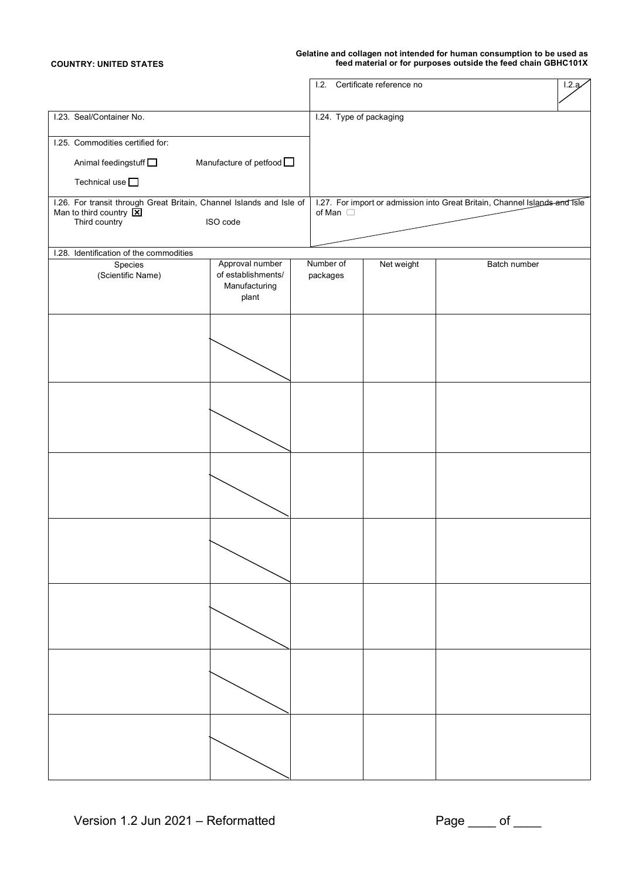## **Gelatine and collagen not intended for human consumption to be used as COUNTRY: UNITED STATES feed material or for purposes outside the feed chain GBHC101X**

|                                                                                                                                       |                                                                 | 1.2.                  | Certificate reference no |                                                                            | 1.2.9 |
|---------------------------------------------------------------------------------------------------------------------------------------|-----------------------------------------------------------------|-----------------------|--------------------------|----------------------------------------------------------------------------|-------|
| I.23. Seal/Container No.                                                                                                              |                                                                 |                       | I.24. Type of packaging  |                                                                            |       |
| I.25. Commodities certified for:                                                                                                      |                                                                 |                       |                          |                                                                            |       |
| Animal feedingstuff                                                                                                                   | Manufacture of petfood D                                        |                       |                          |                                                                            |       |
|                                                                                                                                       |                                                                 |                       |                          |                                                                            |       |
| Technical use $\square$                                                                                                               |                                                                 |                       |                          |                                                                            |       |
| I.26. For transit through Great Britain, Channel Islands and Isle of<br>Man to third country $\overline{\mathbf{X}}$<br>Third country | ISO code                                                        | of Man $\Box$         |                          | 1.27. For import or admission into Great Britain, Channel Islands and Isle |       |
| I.28. Identification of the commodities                                                                                               |                                                                 |                       |                          |                                                                            |       |
| Species<br>(Scientific Name)                                                                                                          | Approval number<br>of establishments/<br>Manufacturing<br>plant | Number of<br>packages | Net weight               | <b>Batch number</b>                                                        |       |
|                                                                                                                                       |                                                                 |                       |                          |                                                                            |       |
|                                                                                                                                       |                                                                 |                       |                          |                                                                            |       |
|                                                                                                                                       |                                                                 |                       |                          |                                                                            |       |
|                                                                                                                                       |                                                                 |                       |                          |                                                                            |       |
|                                                                                                                                       |                                                                 |                       |                          |                                                                            |       |
|                                                                                                                                       |                                                                 |                       |                          |                                                                            |       |
|                                                                                                                                       |                                                                 |                       |                          |                                                                            |       |
|                                                                                                                                       |                                                                 |                       |                          |                                                                            |       |
|                                                                                                                                       |                                                                 |                       |                          |                                                                            |       |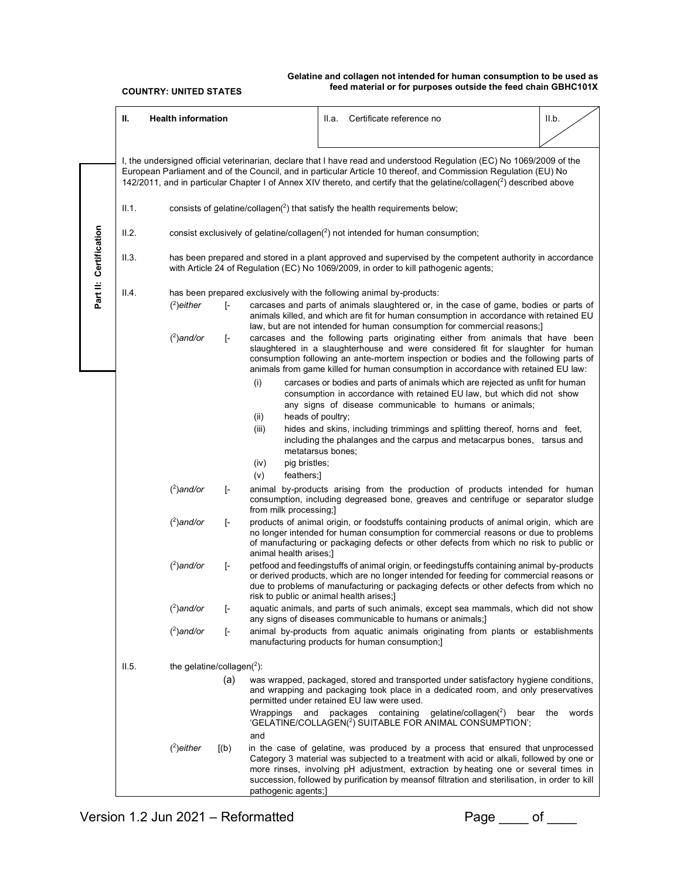|                        | Ш.                                                                                                                                                                                                                                                                                                                                                                          | <b>Health information</b>                                                                                                                                                                        |                         |                                                                                                                                                                                                                                                                                                                                                                                | Certificate reference no<br>II.a.                                                                                                                                                                                                                                                                                                                                     | II.b.        |  |
|------------------------|-----------------------------------------------------------------------------------------------------------------------------------------------------------------------------------------------------------------------------------------------------------------------------------------------------------------------------------------------------------------------------|--------------------------------------------------------------------------------------------------------------------------------------------------------------------------------------------------|-------------------------|--------------------------------------------------------------------------------------------------------------------------------------------------------------------------------------------------------------------------------------------------------------------------------------------------------------------------------------------------------------------------------|-----------------------------------------------------------------------------------------------------------------------------------------------------------------------------------------------------------------------------------------------------------------------------------------------------------------------------------------------------------------------|--------------|--|
|                        |                                                                                                                                                                                                                                                                                                                                                                             |                                                                                                                                                                                                  |                         | I, the undersigned official veterinarian, declare that I have read and understood Regulation (EC) No 1069/2009 of the<br>European Parliament and of the Council, and in particular Article 10 thereof, and Commission Regulation (EU) No<br>142/2011, and in particular Chapter I of Annex XIV thereto, and certify that the gelatine/collagen( <sup>2</sup> ) described above |                                                                                                                                                                                                                                                                                                                                                                       |              |  |
|                        | II.1.                                                                                                                                                                                                                                                                                                                                                                       | consists of gelatine/collagen( $2$ ) that satisfy the health requirements below;                                                                                                                 |                         |                                                                                                                                                                                                                                                                                                                                                                                |                                                                                                                                                                                                                                                                                                                                                                       |              |  |
|                        | II.2.                                                                                                                                                                                                                                                                                                                                                                       | consist exclusively of gelatine/collagen $(^2)$ not intended for human consumption;                                                                                                              |                         |                                                                                                                                                                                                                                                                                                                                                                                |                                                                                                                                                                                                                                                                                                                                                                       |              |  |
| Part II: Certification | II.3.                                                                                                                                                                                                                                                                                                                                                                       | has been prepared and stored in a plant approved and supervised by the competent authority in accordance<br>with Article 24 of Regulation (EC) No 1069/2009, in order to kill pathogenic agents; |                         |                                                                                                                                                                                                                                                                                                                                                                                |                                                                                                                                                                                                                                                                                                                                                                       |              |  |
|                        | II.4.<br>has been prepared exclusively with the following animal by-products:<br>$(2)$ either<br>$\mathsf{F}$<br>carcases and parts of animals slaughtered or, in the case of game, bodies or parts of<br>animals killed, and which are fit for human consumption in accordance with retained EU<br>law, but are not intended for human consumption for commercial reasons; |                                                                                                                                                                                                  |                         |                                                                                                                                                                                                                                                                                                                                                                                |                                                                                                                                                                                                                                                                                                                                                                       |              |  |
|                        |                                                                                                                                                                                                                                                                                                                                                                             | $(2)$ and/or                                                                                                                                                                                     | ŀ                       |                                                                                                                                                                                                                                                                                                                                                                                | carcases and the following parts originating either from animals that have been<br>slaughtered in a slaughterhouse and were considered fit for slaughter for human<br>consumption following an ante-mortem inspection or bodies and the following parts of<br>animals from game killed for human consumption in accordance with retained EU law:                      |              |  |
|                        | (i)                                                                                                                                                                                                                                                                                                                                                                         |                                                                                                                                                                                                  |                         | (ii)<br>heads of poultry;                                                                                                                                                                                                                                                                                                                                                      | carcases or bodies and parts of animals which are rejected as unfit for human<br>consumption in accordance with retained EU law, but which did not show<br>any signs of disease communicable to humans or animals;                                                                                                                                                    |              |  |
|                        |                                                                                                                                                                                                                                                                                                                                                                             |                                                                                                                                                                                                  |                         | (iii)<br>(iv)<br>pig bristles;                                                                                                                                                                                                                                                                                                                                                 | hides and skins, including trimmings and splitting thereof, horns and feet,<br>including the phalanges and the carpus and metacarpus bones, tarsus and<br>metatarsus bones;                                                                                                                                                                                           |              |  |
|                        |                                                                                                                                                                                                                                                                                                                                                                             |                                                                                                                                                                                                  |                         | (v)<br>feathers;]                                                                                                                                                                                                                                                                                                                                                              |                                                                                                                                                                                                                                                                                                                                                                       |              |  |
|                        |                                                                                                                                                                                                                                                                                                                                                                             | $(2)$ and/or                                                                                                                                                                                     | ŀ                       | from milk processing;]                                                                                                                                                                                                                                                                                                                                                         | animal by-products arising from the production of products intended for human<br>consumption, including degreased bone, greaves and centrifuge or separator sludge                                                                                                                                                                                                    |              |  |
|                        |                                                                                                                                                                                                                                                                                                                                                                             | $(^2)$ and/or                                                                                                                                                                                    | ŀ                       | animal health arises;]                                                                                                                                                                                                                                                                                                                                                         | products of animal origin, or foodstuffs containing products of animal origin, which are<br>no longer intended for human consumption for commercial reasons or due to problems<br>of manufacturing or packaging defects or other defects from which no risk to public or                                                                                              |              |  |
|                        |                                                                                                                                                                                                                                                                                                                                                                             | $(^2)$ and/or                                                                                                                                                                                    | ŀ                       |                                                                                                                                                                                                                                                                                                                                                                                | petfood and feedingstuffs of animal origin, or feedingstuffs containing animal by-products<br>or derived products, which are no longer intended for feeding for commercial reasons or<br>due to problems of manufacturing or packaging defects or other defects from which no<br>risk to public or animal health arises;]                                             |              |  |
|                        | $(^2)$ and/or<br>ŀ                                                                                                                                                                                                                                                                                                                                                          |                                                                                                                                                                                                  |                         | aquatic animals, and parts of such animals, except sea mammals, which did not show<br>any signs of diseases communicable to humans or animals;]                                                                                                                                                                                                                                |                                                                                                                                                                                                                                                                                                                                                                       |              |  |
|                        |                                                                                                                                                                                                                                                                                                                                                                             | $(^2)$ and/or                                                                                                                                                                                    | $\lbrack \cdot \rbrack$ |                                                                                                                                                                                                                                                                                                                                                                                | animal by-products from aquatic animals originating from plants or establishments<br>manufacturing products for human consumption;]                                                                                                                                                                                                                                   |              |  |
|                        | II.5.                                                                                                                                                                                                                                                                                                                                                                       | the gelatine/collagen( $^{2}$ ):                                                                                                                                                                 |                         |                                                                                                                                                                                                                                                                                                                                                                                |                                                                                                                                                                                                                                                                                                                                                                       |              |  |
|                        | (a)                                                                                                                                                                                                                                                                                                                                                                         |                                                                                                                                                                                                  |                         |                                                                                                                                                                                                                                                                                                                                                                                | was wrapped, packaged, stored and transported under satisfactory hygiene conditions,<br>and wrapping and packaging took place in a dedicated room, and only preservatives<br>permitted under retained EU law were used.                                                                                                                                               |              |  |
|                        |                                                                                                                                                                                                                                                                                                                                                                             |                                                                                                                                                                                                  |                         |                                                                                                                                                                                                                                                                                                                                                                                | gelatine/collagen(2)<br>bear<br>Wrappings and packages containing<br>'GELATINE/COLLAGEN( <sup>2</sup> ) SUITABLE FOR ANIMAL CONSUMPTION';                                                                                                                                                                                                                             | the<br>words |  |
|                        |                                                                                                                                                                                                                                                                                                                                                                             | $(2)$ either                                                                                                                                                                                     | [(b)]                   | and<br>pathogenic agents;]                                                                                                                                                                                                                                                                                                                                                     | in the case of gelatine, was produced by a process that ensured that unprocessed<br>Category 3 material was subjected to a treatment with acid or alkali, followed by one or<br>more rinses, involving pH adjustment, extraction by heating one or several times in<br>succession, followed by purification by meansof filtration and sterilisation, in order to kill |              |  |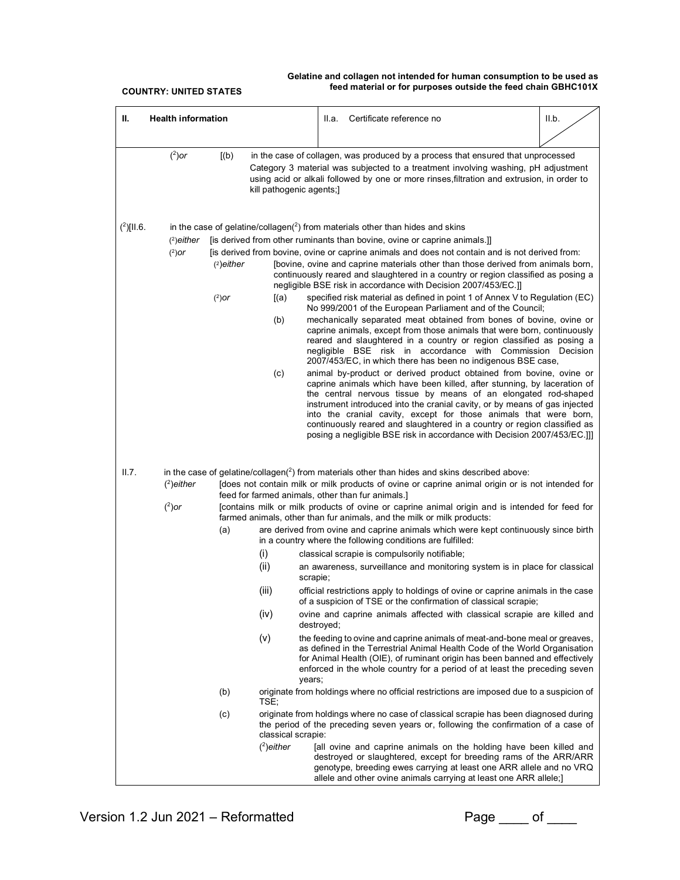| <b>Health information</b><br>Ш.          |                                                                                                                                                                                                                                                                                                                       | Certificate reference no<br>II.a.                                                                                                                                                                                                                                                                                                                                                                                                                                                                                                                                                                                                                                                                                                                                                                                                                                                                                                                                                                                                                                                                                                                                                                                                                                                                                                                                                                                                                                                                                                                                                                                                                                      | II.b. |  |  |  |
|------------------------------------------|-----------------------------------------------------------------------------------------------------------------------------------------------------------------------------------------------------------------------------------------------------------------------------------------------------------------------|------------------------------------------------------------------------------------------------------------------------------------------------------------------------------------------------------------------------------------------------------------------------------------------------------------------------------------------------------------------------------------------------------------------------------------------------------------------------------------------------------------------------------------------------------------------------------------------------------------------------------------------------------------------------------------------------------------------------------------------------------------------------------------------------------------------------------------------------------------------------------------------------------------------------------------------------------------------------------------------------------------------------------------------------------------------------------------------------------------------------------------------------------------------------------------------------------------------------------------------------------------------------------------------------------------------------------------------------------------------------------------------------------------------------------------------------------------------------------------------------------------------------------------------------------------------------------------------------------------------------------------------------------------------------|-------|--|--|--|
|                                          |                                                                                                                                                                                                                                                                                                                       |                                                                                                                                                                                                                                                                                                                                                                                                                                                                                                                                                                                                                                                                                                                                                                                                                                                                                                                                                                                                                                                                                                                                                                                                                                                                                                                                                                                                                                                                                                                                                                                                                                                                        |       |  |  |  |
|                                          | $(^2)$ or<br>[(b)]<br>in the case of collagen, was produced by a process that ensured that unprocessed<br>Category 3 material was subjected to a treatment involving washing, pH adjustment<br>using acid or alkali followed by one or more rinses, filtration and extrusion, in order to<br>kill pathogenic agents;] |                                                                                                                                                                                                                                                                                                                                                                                                                                                                                                                                                                                                                                                                                                                                                                                                                                                                                                                                                                                                                                                                                                                                                                                                                                                                                                                                                                                                                                                                                                                                                                                                                                                                        |       |  |  |  |
| $(2)$ [II.6.<br>$(2)$ either<br>$(2)$ or | $(2)$ either<br>$(2)$ or<br>[(a)<br>(b)<br>(c)                                                                                                                                                                                                                                                                        | in the case of gelatine/collagen( $^{2}$ ) from materials other than hides and skins<br>[is derived from other ruminants than bovine, ovine or caprine animals.]]<br>[is derived from bovine, ovine or caprine animals and does not contain and is not derived from:<br>[bovine, ovine and caprine materials other than those derived from animals born,<br>continuously reared and slaughtered in a country or region classified as posing a<br>negligible BSE risk in accordance with Decision 2007/453/EC.]]<br>specified risk material as defined in point 1 of Annex V to Regulation (EC)<br>No 999/2001 of the European Parliament and of the Council;<br>mechanically separated meat obtained from bones of bovine, ovine or<br>caprine animals, except from those animals that were born, continuously<br>reared and slaughtered in a country or region classified as posing a<br>negligible BSE risk in accordance with Commission Decision<br>2007/453/EC, in which there has been no indigenous BSE case,<br>animal by-product or derived product obtained from bovine, ovine or<br>caprine animals which have been killed, after stunning, by laceration of<br>the central nervous tissue by means of an elongated rod-shaped<br>instrument introduced into the cranial cavity, or by means of gas injected<br>into the cranial cavity, except for those animals that were born,<br>continuously reared and slaughtered in a country or region classified as<br>posing a negligible BSE risk in accordance with Decision 2007/453/EC.]]                                                                                                                    |       |  |  |  |
| II.7.<br>$(2)$ either<br>$(^2)$ or       | feed for farmed animals, other than fur animals.]<br>(a)<br>(i)<br>(ii)<br>scrapie;<br>(iii)<br>(iv)<br>(v)<br>years;<br>(b)<br>TSE;<br>(c)<br>classical scrapie:<br>$(2)$ either                                                                                                                                     | in the case of gelatine/collagen( $^2$ ) from materials other than hides and skins described above:<br>[does not contain milk or milk products of ovine or caprine animal origin or is not intended for<br>[contains milk or milk products of ovine or caprine animal origin and is intended for feed for<br>farmed animals, other than fur animals, and the milk or milk products:<br>are derived from ovine and caprine animals which were kept continuously since birth<br>in a country where the following conditions are fulfilled:<br>classical scrapie is compulsorily notifiable;<br>an awareness, surveillance and monitoring system is in place for classical<br>official restrictions apply to holdings of ovine or caprine animals in the case<br>of a suspicion of TSE or the confirmation of classical scrapie;<br>ovine and caprine animals affected with classical scrapie are killed and<br>destroyed;<br>the feeding to ovine and caprine animals of meat-and-bone meal or greaves,<br>as defined in the Terrestrial Animal Health Code of the World Organisation<br>for Animal Health (OIE), of ruminant origin has been banned and effectively<br>enforced in the whole country for a period of at least the preceding seven<br>originate from holdings where no official restrictions are imposed due to a suspicion of<br>originate from holdings where no case of classical scrapie has been diagnosed during<br>the period of the preceding seven years or, following the confirmation of a case of<br>[all ovine and caprine animals on the holding have been killed and<br>destroyed or slaughtered, except for breeding rams of the ARR/ARR |       |  |  |  |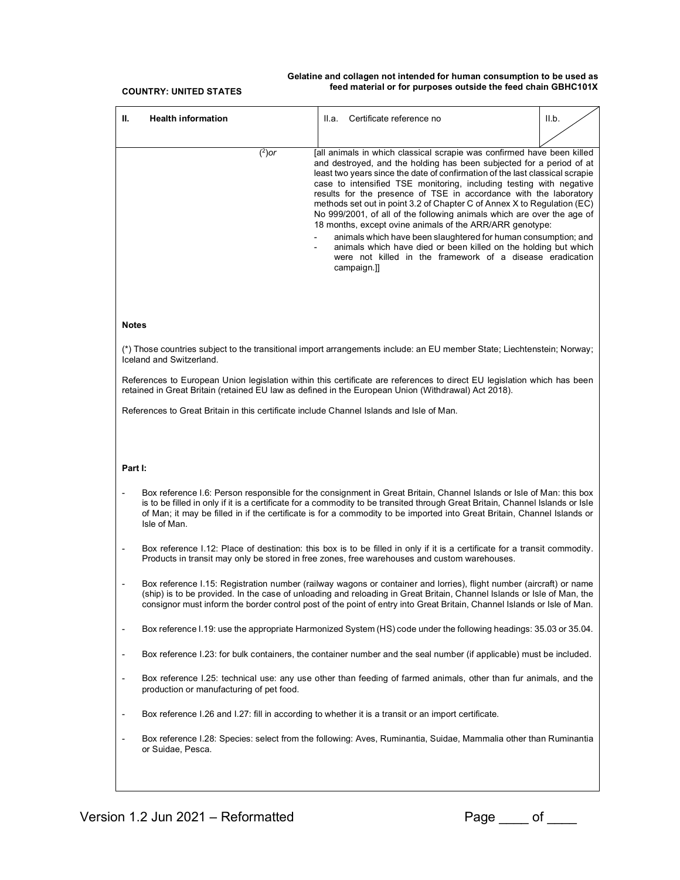| <b>Health information</b><br>Ш.                                                                                                                                                                                                                                                                                                                                                                                                                                                                                                                                                                                                                                                                                                                                                                                           | Certificate reference no<br>II.a.                                                                                                                                                                                              | II.b. |  |  |  |  |  |  |
|---------------------------------------------------------------------------------------------------------------------------------------------------------------------------------------------------------------------------------------------------------------------------------------------------------------------------------------------------------------------------------------------------------------------------------------------------------------------------------------------------------------------------------------------------------------------------------------------------------------------------------------------------------------------------------------------------------------------------------------------------------------------------------------------------------------------------|--------------------------------------------------------------------------------------------------------------------------------------------------------------------------------------------------------------------------------|-------|--|--|--|--|--|--|
|                                                                                                                                                                                                                                                                                                                                                                                                                                                                                                                                                                                                                                                                                                                                                                                                                           |                                                                                                                                                                                                                                |       |  |  |  |  |  |  |
| $(^2)$ or<br>[all animals in which classical scrapie was confirmed have been killed<br>and destroyed, and the holding has been subjected for a period of at<br>least two years since the date of confirmation of the last classical scrapie<br>case to intensified TSE monitoring, including testing with negative<br>results for the presence of TSE in accordance with the laboratory<br>methods set out in point 3.2 of Chapter C of Annex X to Regulation (EC)<br>No 999/2001, of all of the following animals which are over the age of<br>18 months, except ovine animals of the ARR/ARR genotype:<br>animals which have been slaughtered for human consumption; and<br>animals which have died or been killed on the holding but which<br>were not killed in the framework of a disease eradication<br>campaign.]] |                                                                                                                                                                                                                                |       |  |  |  |  |  |  |
| <b>Notes</b>                                                                                                                                                                                                                                                                                                                                                                                                                                                                                                                                                                                                                                                                                                                                                                                                              |                                                                                                                                                                                                                                |       |  |  |  |  |  |  |
| Iceland and Switzerland.                                                                                                                                                                                                                                                                                                                                                                                                                                                                                                                                                                                                                                                                                                                                                                                                  | (*) Those countries subject to the transitional import arrangements include: an EU member State; Liechtenstein; Norway;                                                                                                        |       |  |  |  |  |  |  |
|                                                                                                                                                                                                                                                                                                                                                                                                                                                                                                                                                                                                                                                                                                                                                                                                                           | References to European Union legislation within this certificate are references to direct EU legislation which has been<br>retained in Great Britain (retained EU law as defined in the European Union (Withdrawal) Act 2018). |       |  |  |  |  |  |  |
| References to Great Britain in this certificate include Channel Islands and Isle of Man.                                                                                                                                                                                                                                                                                                                                                                                                                                                                                                                                                                                                                                                                                                                                  |                                                                                                                                                                                                                                |       |  |  |  |  |  |  |
|                                                                                                                                                                                                                                                                                                                                                                                                                                                                                                                                                                                                                                                                                                                                                                                                                           |                                                                                                                                                                                                                                |       |  |  |  |  |  |  |
| Part I:                                                                                                                                                                                                                                                                                                                                                                                                                                                                                                                                                                                                                                                                                                                                                                                                                   |                                                                                                                                                                                                                                |       |  |  |  |  |  |  |
| Box reference I.6: Person responsible for the consignment in Great Britain, Channel Islands or Isle of Man: this box<br>is to be filled in only if it is a certificate for a commodity to be transited through Great Britain, Channel Islands or Isle<br>of Man; it may be filled in if the certificate is for a commodity to be imported into Great Britain, Channel Islands or<br>Isle of Man.                                                                                                                                                                                                                                                                                                                                                                                                                          |                                                                                                                                                                                                                                |       |  |  |  |  |  |  |
| $\qquad \qquad \blacksquare$                                                                                                                                                                                                                                                                                                                                                                                                                                                                                                                                                                                                                                                                                                                                                                                              | Box reference 1.12: Place of destination: this box is to be filled in only if it is a certificate for a transit commodity.<br>Products in transit may only be stored in free zones, free warehouses and custom warehouses.     |       |  |  |  |  |  |  |
| Box reference I.15: Registration number (railway wagons or container and lorries), flight number (aircraft) or name<br>(ship) is to be provided. In the case of unloading and reloading in Great Britain, Channel Islands or Isle of Man, the<br>consignor must inform the border control post of the point of entry into Great Britain, Channel Islands or Isle of Man.                                                                                                                                                                                                                                                                                                                                                                                                                                                  |                                                                                                                                                                                                                                |       |  |  |  |  |  |  |
| -                                                                                                                                                                                                                                                                                                                                                                                                                                                                                                                                                                                                                                                                                                                                                                                                                         | Box reference I.19: use the appropriate Harmonized System (HS) code under the following headings: 35.03 or 35.04.                                                                                                              |       |  |  |  |  |  |  |
| -                                                                                                                                                                                                                                                                                                                                                                                                                                                                                                                                                                                                                                                                                                                                                                                                                         | Box reference I.23: for bulk containers, the container number and the seal number (if applicable) must be included.                                                                                                            |       |  |  |  |  |  |  |
| $\blacksquare$<br>production or manufacturing of pet food.                                                                                                                                                                                                                                                                                                                                                                                                                                                                                                                                                                                                                                                                                                                                                                | Box reference I.25: technical use: any use other than feeding of farmed animals, other than fur animals, and the                                                                                                               |       |  |  |  |  |  |  |
| -                                                                                                                                                                                                                                                                                                                                                                                                                                                                                                                                                                                                                                                                                                                                                                                                                         | Box reference I.26 and I.27: fill in according to whether it is a transit or an import certificate.                                                                                                                            |       |  |  |  |  |  |  |
| or Suidae, Pesca.                                                                                                                                                                                                                                                                                                                                                                                                                                                                                                                                                                                                                                                                                                                                                                                                         | Box reference I.28: Species: select from the following: Aves, Ruminantia, Suidae, Mammalia other than Ruminantia                                                                                                               |       |  |  |  |  |  |  |
|                                                                                                                                                                                                                                                                                                                                                                                                                                                                                                                                                                                                                                                                                                                                                                                                                           |                                                                                                                                                                                                                                |       |  |  |  |  |  |  |